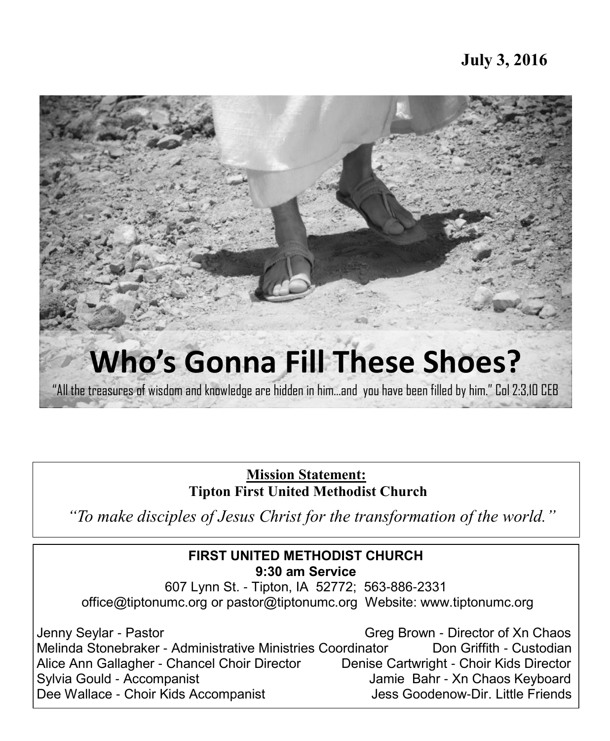

**Mission Statement: Tipton First United Methodist Church** 

*"To make disciples of Jesus Christ for the transformation of the world."*

#### **FIRST UNITED METHODIST CHURCH 9:30 am Service**

607 Lynn St. - Tipton, IA 52772; 563-886-2331 office@tiptonumc.org or pastor@tiptonumc.org Website: www.tiptonumc.org

Jenny Seylar - Pastor Greg Brown - Director of Xn Chaos Melinda Stonebraker - Administrative Ministries Coordinator **Don Griffith - Custodian** Alice Ann Gallagher - Chancel Choir Director Denise Cartwright - Choir Kids Director Sylvia Gould - Accompanist **Accompanist** Jamie Bahr - Xn Chaos Keyboard Dee Wallace - Choir Kids Accompanist **Des Goodenow-Dir. Little Friends**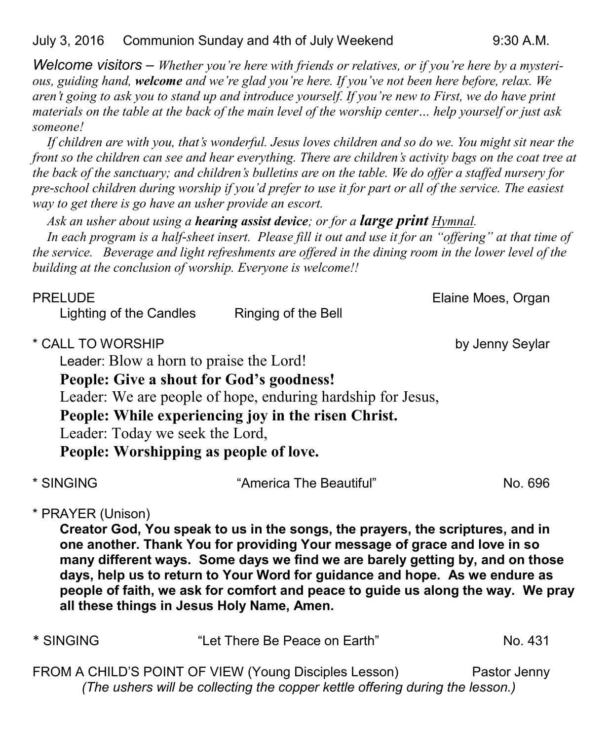*Welcome visitors – Whether you're here with friends or relatives, or if you're here by a mysterious, guiding hand, welcome and we're glad you're here. If you've not been here before, relax. We aren't going to ask you to stand up and introduce yourself. If you're new to First, we do have print materials on the table at the back of the main level of the worship center… help yourself or just ask someone!*

*If children are with you, that's wonderful. Jesus loves children and so do we. You might sit near the front so the children can see and hear everything. There are children's activity bags on the coat tree at the back of the sanctuary; and children's bulletins are on the table. We do offer a staffed nursery for pre-school children during worship if you'd prefer to use it for part or all of the service. The easiest way to get there is go have an usher provide an escort.* 

#### *Ask an usher about using a hearing assist device; or for a large print Hymnal.*

*In each program is a half-sheet insert. Please fill it out and use it for an "offering" at that time of the service. Beverage and light refreshments are offered in the dining room in the lower level of the building at the conclusion of worship. Everyone is welcome!!*

| <b>PRELUDE</b><br>Lighting of the Candles            | Ringing of the Bell                                                                                                                                                                                                                                                                                                                                                                                                                                           | Elaine Moes, Organ |
|------------------------------------------------------|---------------------------------------------------------------------------------------------------------------------------------------------------------------------------------------------------------------------------------------------------------------------------------------------------------------------------------------------------------------------------------------------------------------------------------------------------------------|--------------------|
| * CALL TO WORSHIP<br>Leader: Today we seek the Lord, | Leader: Blow a horn to praise the Lord!<br>People: Give a shout for God's goodness!<br>Leader: We are people of hope, enduring hardship for Jesus,<br>People: While experiencing joy in the risen Christ.<br>People: Worshipping as people of love.                                                                                                                                                                                                           | by Jenny Seylar    |
| * SINGING                                            | "America The Beautiful"                                                                                                                                                                                                                                                                                                                                                                                                                                       | No. 696            |
| * PRAYER (Unison)                                    | Creator God, You speak to us in the songs, the prayers, the scriptures, and in<br>one another. Thank You for providing Your message of grace and love in so<br>many different ways. Some days we find we are barely getting by, and on those<br>days, help us to return to Your Word for guidance and hope. As we endure as<br>people of faith, we ask for comfort and peace to guide us along the way. We pray<br>all these things in Jesus Holy Name, Amen. |                    |
| * SINGING                                            | "Let There Be Peace on Earth"                                                                                                                                                                                                                                                                                                                                                                                                                                 | No. 431            |

FROM A CHILD'S POINT OF VIEW (Young Disciples Lesson) Pastor Jenny *(The ushers will be collecting the copper kettle offering during the lesson.)*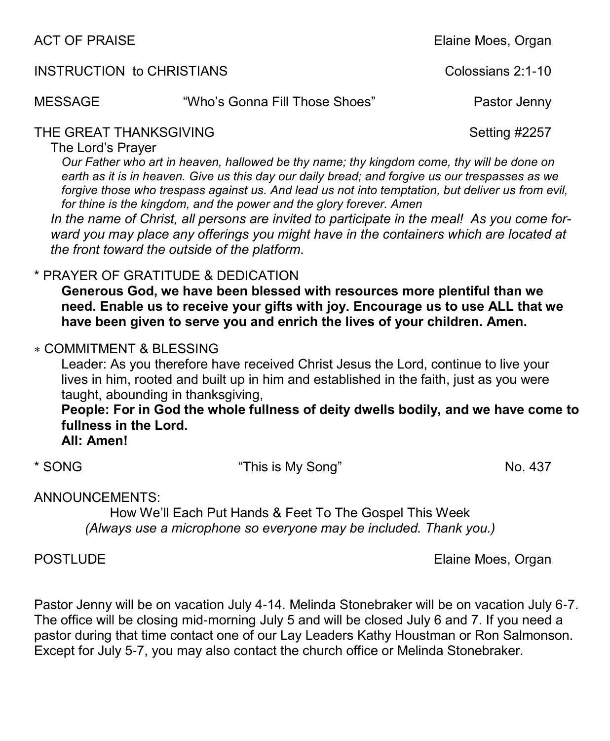| ACT OF PRAISE                    |                                | Elaine Moes, Organ |
|----------------------------------|--------------------------------|--------------------|
| <b>INSTRUCTION to CHRISTIANS</b> |                                | Colossians 2:1-10  |
| MESSAGE                          | "Who's Gonna Fill Those Shoes" | Pastor Jenny       |
| THE GREAT THANKSGIVING           |                                | Setting #2257      |

The Lord's Prayer

*Our Father who art in heaven, hallowed be thy name; thy kingdom come, thy will be done on earth as it is in heaven. Give us this day our daily bread; and forgive us our trespasses as we*  forgive those who trespass against us. And lead us not into temptation, but deliver us from evil, *for thine is the kingdom, and the power and the glory forever. Amen*

*In the name of Christ, all persons are invited to participate in the meal! As you come forward you may place any offerings you might have in the containers which are located at the front toward the outside of the platform.* 

\* PRAYER OF GRATITUDE & DEDICATION

**Generous God, we have been blessed with resources more plentiful than we need. Enable us to receive your gifts with joy. Encourage us to use ALL that we have been given to serve you and enrich the lives of your children. Amen.**

# ∗ COMMITMENT & BLESSING

Leader: As you therefore have received Christ Jesus the Lord, continue to live your lives in him, rooted and built up in him and established in the faith, just as you were taught, abounding in thanksgiving,

**People: For in God the whole fullness of deity dwells bodily, and we have come to fullness in the Lord.**

**All: Amen!**

\* SONG "This is My Song" No. 437

ANNOUNCEMENTS:

How We'll Each Put Hands & Feet To The Gospel This Week *(Always use a microphone so everyone may be included. Thank you.)*

POSTLUDE **Elaine Moes, Organ** 

Pastor Jenny will be on vacation July 4-14. Melinda Stonebraker will be on vacation July 6-7. The office will be closing mid-morning July 5 and will be closed July 6 and 7. If you need a pastor during that time contact one of our Lay Leaders Kathy Houstman or Ron Salmonson. Except for July 5-7, you may also contact the church office or Melinda Stonebraker.